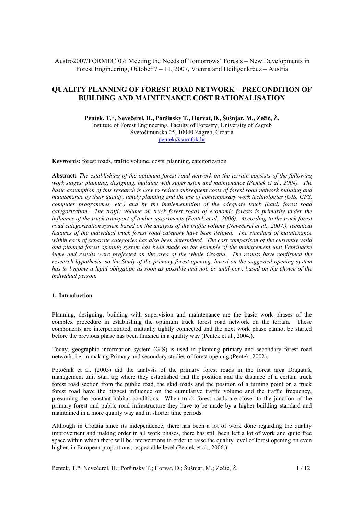# Austro2007/FORMEC´07: Meeting the Needs of Tomorrows´ Forests – New Developments in Forest Engineering, October 7 – 11, 2007, Vienna and Heiligenkreuz – Austria

# **QUALITY PLANNING OF FOREST ROAD NETWORK – PRECONDITION OF BUILDING AND MAINTENANCE COST RATIONALISATION**

**Pentek, T.\*, Nevečerel, H., Poršinsky T., Horvat, D., Šušnjar, M., Zečić, Ž.**  Institute of Forest Engineering, Faculty of Forestry, University of Zagreb Svetošimunska 25, 10040 Zagreb, Croatia pentek@sumfak.hr

**Keywords:** forest roads, traffic volume, costs, planning, categorization

**Abstract:** *The establishing of the optimum forest road network on the terrain consists of the following work stages: planning, designing, building with supervision and maintenance (Pentek et al., 2004). The basic assumption of this research is how to reduce subsequent costs of forest road network building and maintenance by their quality, timely planning and the use of contemporary work technologies (GIS, GPS, computer programmes, etc.) and by the implementation of the adequate truck (haul) forest road categorization. The traffic volume on truck forest roads of economic forests is primarily under the influence of the truck transport of timber assortments (Pentek et al., 2006). According to the truck forest road categorization system based on the analysis of the traffic volume (Nevečerel et al., 2007.), technical features of the individual truck forest road category have been defined. The standard of maintenance within each of separate categories has also been determined. The cost comparison of the currently valid and planned forest opening system has been made on the example of the management unit Veprinačke šume and results were projected on the area of the whole Croatia. The results have confirmed the research hypothesis, so the Study of the primary forest opening, based on the suggested opening system has to become a legal obligation as soon as possible and not, as until now, based on the choice of the individual person.* 

#### **1. Introduction**

Planning, designing, building with supervision and maintenance are the basic work phases of the complex procedure in establishing the optimum truck forest road network on the terrain. These components are interpenetrated, mutually tightly connected and the next work phase cannot be started before the previous phase has been finished in a quality way (Pentek et al., 2004.).

Today, geographic information system (GIS) is used in planning primary and secondary forest road network, i.e. in making Primary and secondary studies of forest opening (Pentek, 2002).

Potočnik et al. (2005) did the analysis of the primary forest roads in the forest area Dragatuš, management unit Stari trg where they established that the position and the distance of a certain truck forest road section from the public road, the skid roads and the position of a turning point on a truck forest road have the biggest influence on the cumulative traffic volume and the traffic frequency, presuming the constant habitat conditions. When truck forest roads are closer to the junction of the primary forest and public road infrastructure they have to be made by a higher building standard and maintained in a more quality way and in shorter time periods.

Although in Croatia since its independence, there has been a lot of work done regarding the quality improvement and making order in all work phases, there has still been left a lot of work and quite free space within which there will be interventions in order to raise the quality level of forest opening on even higher, in European proportions, respectable level (Pentek et al., 2006.)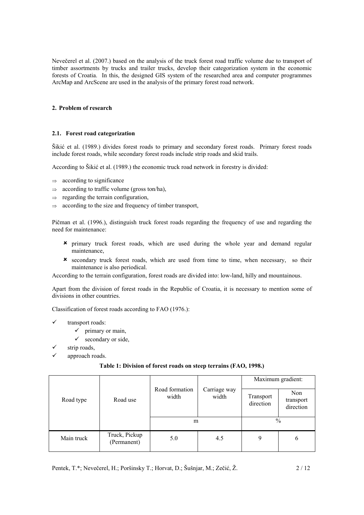Nevečerel et al. (2007.) based on the analysis of the truck forest road traffic volume due to transport of timber assortments by trucks and trailer trucks, develop their categorization system in the economic forests of Croatia. In this, the designed GIS system of the researched area and computer programmes ArcMap and ArcScene are used in the analysis of the primary forest road network.

## **2. Problem of research**

## **2.1. Forest road categorization**

Šikić et al. (1989.) divides forest roads to primary and secondary forest roads. Primary forest roads include forest roads, while secondary forest roads include strip roads and skid trails.

According to Šikić et al. (1989.) the economic truck road network in forestry is divided:

- $\Rightarrow$  according to significance
- $\Rightarrow$  according to traffic volume (gross ton/ha),
- $\Rightarrow$  regarding the terrain configuration,
- ⇒ according to the size and frequency of timber transport,

Pičman et al. (1996.), distinguish truck forest roads regarding the frequency of use and regarding the need for maintenance:

- 8 primary truck forest roads, which are used during the whole year and demand regular maintenance,
- 8 secondary truck forest roads, which are used from time to time, when necessary, so their maintenance is also periodical.

According to the terrain configuration, forest roads are divided into: low-land, hilly and mountainous.

Apart from the division of forest roads in the Republic of Croatia, it is necessary to mention some of divisions in other countries.

Classification of forest roads according to FAO (1976.):

- $\checkmark$  transport roads:
	- $\checkmark$  primary or main,
	- $\checkmark$  secondary or side,
- strip roads,
- approach roads.

## **Table 1: Division of forest roads on steep terrains (FAO, 1998.)**

|            | Road use                     |                         |                       | Maximum gradient:      |                               |  |
|------------|------------------------------|-------------------------|-----------------------|------------------------|-------------------------------|--|
| Road type  |                              | Road formation<br>width | Carriage way<br>width | Transport<br>direction | Non<br>transport<br>direction |  |
|            |                              | m                       |                       | $\frac{0}{0}$          |                               |  |
| Main truck | Truck, Pickup<br>(Permanent) | 5.0                     | 4.5                   | 9                      | 6                             |  |

Pentek, T.\*; Nevečerel, H.; Poršinsky T.; Horvat, D.; Šušnjar, M.; Zečić, Ž. 2 / 2 / 12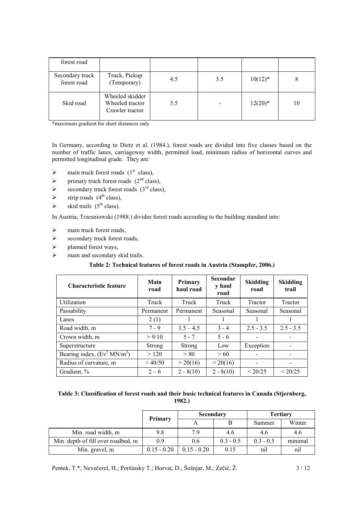| forest road                    |                                                       |     |     |           |    |
|--------------------------------|-------------------------------------------------------|-----|-----|-----------|----|
| Secondary truck<br>forest road | Truck, Pickup<br>(Temporary)                          | 4.5 | 3.5 | $10(12)*$ | 8  |
| Skid road                      | Wheeled skidder<br>Wheeled tractor<br>Crawler tractor | 3.5 |     | $12(20)*$ | 10 |

\*maximum gradient for short distances only

In Germany, according to Dietz et al. (1984.), forest roads are divided into five classes based on the number of traffic lanes, carriageway width, permitted load, minimum radius of horizontal curves and permitted longitudinal grade. They are:

- $\triangleright$  main truck forest roads (1<sup>st</sup> class),
- $\triangleright$  primary truck forest roads (2<sup>nd</sup> class),
- $\triangleright$  secondary truck forest roads (3<sup>rd</sup> class),
- $\triangleright$  strip roads (4<sup>th</sup> class),
- $\triangleright$  skid trails (5<sup>th</sup> class).

In Austria, Trzesniowski (1988.) divides forest roads according to the building standard into:

- $\triangleright$  main truck forest roads,
- $\triangleright$  secondary truck forest roads,
- $\triangleright$  planned forest ways,
- $\triangleright$  main and secondary skid trails.

# **Table 2: Technical features of forest roads in Austria (Stampfer, 2006.)**

| Characteristic feature         | Main<br>road | <b>Primary</b><br>haul road | <b>Secondar</b><br>y haul<br>road | <b>Skidding</b><br>road | <b>Skidding</b><br>trail |
|--------------------------------|--------------|-----------------------------|-----------------------------------|-------------------------|--------------------------|
| Utilization                    | Truck        | Truck                       | Truck                             | Tractor                 | Tractor                  |
| Passability                    | Permanent    | Permanent                   | Seasonal                          | Seasonal                | Seasonal                 |
| Lanes                          | 2(1)         |                             |                                   |                         |                          |
| Road width, m                  | $7 - 9$      | $3.5 - 4.5$                 | $3 - 4$                           | $2.5 - 3.5$             | $2.5 - 3.5$              |
| Crown width, m                 | > 9/10       | $5 - 7$                     | $5 - 6$                           |                         |                          |
| Superstructure                 | Strong       | <b>Strong</b>               | Low                               | Exception               |                          |
| Bearing index, $(Ev^2 MN/m^2)$ | >120         | > 80                        | > 60                              |                         |                          |
| Radius of curvature, m         | > 40/50      | > 20(16)                    | > 20(16)                          |                         |                          |
| Gradient, %                    | $2 - 6$      | $2 - 8(10)$                 | $2 - 8(10)$                       | < 20/25                 | < 20/25                  |

| Table 3: Classification of forest roads and their basic technical features in Canada (Stjernberg, |
|---------------------------------------------------------------------------------------------------|
| 1982.)                                                                                            |

|                                    | <b>Primary</b> | Secondary     |             | <b>Tertiary</b> |         |
|------------------------------------|----------------|---------------|-------------|-----------------|---------|
|                                    |                |               |             | Summer          | Winter  |
| Min. road width, m                 | 9.8            | 7 Q           | 4.6         | 4.6             | 4.6     |
| Min. depth of fill over roadbed, m | 09             | 0.6           | $0.3 - 0.5$ | $0.3 - 0.5$     | minimal |
| Min. gravel, m                     | $0.15 - 0.20$  | $0.15 - 0.20$ | 0.15        | nil             | nıl     |

Pentek, T.\*; Nevečerel, H.; Poršinsky T.; Horvat, D.; Šušnjar, M.; Zečić, Ž. 3/12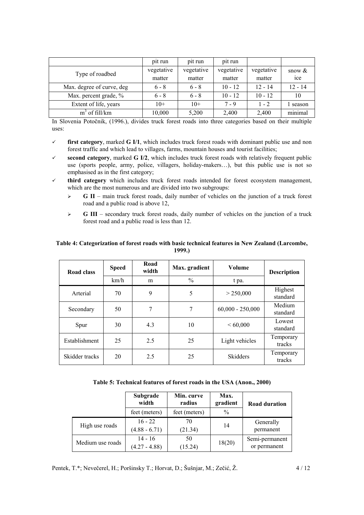|                           | pit run    | pit run    | pit run    |            |           |
|---------------------------|------------|------------|------------|------------|-----------|
| Type of roadbed           | vegetative | vegetative | vegetative | vegetative | snow $\&$ |
|                           | matter     | matter     | matter     | matter     | ice       |
| Max. degree of curve, deg | $6 - 8$    | $6 - 8$    | $10 - 12$  | $12 - 14$  | $12 - 14$ |
| Max. percent grade, %     | $6 - 8$    | $6 - 8$    | $10 - 12$  | $10 - 12$  | 10        |
| Extent of life, years     | $10+$      | $10+$      | $7 - 9$    | $1 - 2$    | season    |
| $m3$ of fill/km           | 10,000     | 5,200      | 2,400      | 2,400      | minimal   |

In Slovenia Potočnik, (1996.), divides truck forest roads into three categories based on their multiple uses:

- $\checkmark$  first category, marked **G** I/1, which includes truck forest roads with dominant public use and non forest traffic and which lead to villages, farms, mountain houses and tourist facilities;
- second category, marked **G** I/2, which includes truck forest roads with relatively frequent public use (sports people, army, police, villagers, holiday-makers…), but this public use is not so emphasised as in the first category;
- 9 **third category** which includes truck forest roads intended for forest ecosystem management, which are the most numerous and are divided into two subgroups:
	- $\triangleright$  **G II** main truck forest roads, daily number of vehicles on the junction of a truck forest road and a public road is above 12,
	- $\triangleright$  **G III** secondary truck forest roads, daily number of vehicles on the junction of a truck forest road and a public road is less than 12.

| <b>Road class</b> | <b>Speed</b> | Road<br>width | Max. gradient | Volume             | <b>Description</b>  |
|-------------------|--------------|---------------|---------------|--------------------|---------------------|
|                   | km/h         | m             | $\frac{0}{0}$ | t pa.              |                     |
| Arterial          | 70           | 9             | 5             | > 250,000          | Highest<br>standard |
| Secondary         | 50           | 7             | 7             | $60,000 - 250,000$ | Medium<br>standard  |
| Spur              | 30           | 4.3           | 10            | <60,000            | Lowest<br>standard  |
| Establishment     | 25           | 2.5           | 25            | Light vehicles     | Temporary<br>tracks |
| Skidder tracks    | 20           | 2.5           | 25            | Skidders           | Temporary<br>tracks |

## **Table 4: Categorization of forest roads with basic technical features in New Zealand (Larcombe, 1999.)**

**Table 5: Technical features of forest roads in the USA (Anon., 2000)** 

|                  | Subgrade<br>width            | Min. curve<br>radius | Max.<br>gradient | <b>Road duration</b>           |
|------------------|------------------------------|----------------------|------------------|--------------------------------|
|                  | feet (meters)                | feet (meters)        | $\frac{0}{0}$    |                                |
| High use roads   | $16 - 22$<br>$(4.88 - 6.71)$ | 70<br>(21.34)        | 14               | Generally<br>permanent         |
| Medium use roads | $14 - 16$<br>$(4.27 - 4.88)$ | 50<br>(15.24)        | 18(20)           | Semi-permanent<br>or permanent |

Pentek, T.\*; Nevečerel, H.; Poršinsky T.; Horvat, D.; Šušnjar, M.; Zečić, Ž. 4/12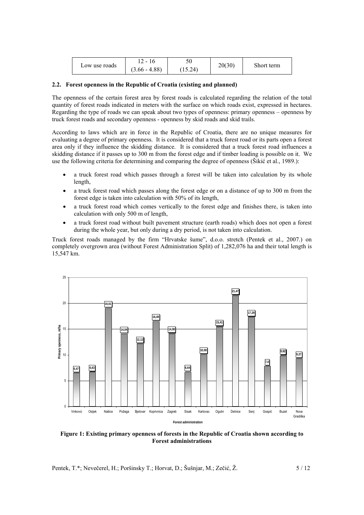| Low use roads | 50<br>16<br>/. –<br>υU<br>$(3.66 - 4.88)$<br>(15.24) | 20(30) | Short term |
|---------------|------------------------------------------------------|--------|------------|
|---------------|------------------------------------------------------|--------|------------|

## **2.2. Forest openness in the Republic of Croatia (existing and planned)**

The openness of the certain forest area by forest roads is calculated regarding the relation of the total quantity of forest roads indicated in meters with the surface on which roads exist, expressed in hectares. Regarding the type of roads we can speak about two types of openness: primary openness – openness by truck forest roads and secondary openness - openness by skid roads and skid trails.

According to laws which are in force in the Republic of Croatia, there are no unique measures for evaluating a degree of primary openness. It is considered that a truck forest road or its parts open a forest area only if they influence the skidding distance. It is considered that a truck forest road influences a skidding distance if it passes up to 300 m from the forest edge and if timber loading is possible on it. We use the following criteria for determining and comparing the degree of openness (Šikić et al., 1989.):

- a truck forest road which passes through a forest will be taken into calculation by its whole length,
- a truck forest road which passes along the forest edge or on a distance of up to 300 m from the forest edge is taken into calculation with 50% of its length,
- a truck forest road which comes vertically to the forest edge and finishes there, is taken into calculation with only 500 m of length,
- a truck forest road without built pavement structure (earth roads) which does not open a forest during the whole year, but only during a dry period, is not taken into calculation.

Truck forest roads managed by the firm "Hrvatske šume", d.o.o. stretch (Pentek et al., 2007.) on completely overgrown area (without Forest Administration Split) of 1,282,076 ha and their total length is 15,547 km.



**Figure 1: Existing primary openness of forests in the Republic of Croatia shown according to Forest administrations** 

Pentek, T.\*; Nevečerel, H.; Poršinsky T.; Horvat, D.; Šušnjar, M.; Zečić, Ž. 5/12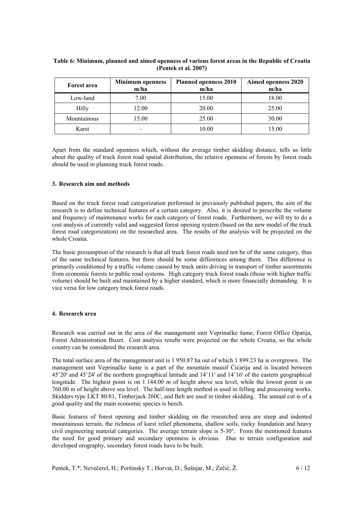| <b>Forest area</b> | <b>Minimum openness</b><br>m/ha | <b>Planned openness 2010</b><br>m/ha | Aimed openness 2020<br>m/ha |
|--------------------|---------------------------------|--------------------------------------|-----------------------------|
| Low-land           | 7.00                            | 15.00                                | 18.00                       |
| Hilly              | 12.00                           | 20.00                                | 25.00                       |
| Mountainous        | 15.00                           | 25.00                                | 30.00                       |
| Karst              |                                 | 10.00                                | 15.00                       |

## **Table 6: Minimum, planned and aimed openness of various forest areas in the Republic of Croatia (Pentek et al. 2007)**

Apart from the standard openness which, without the average timber skidding distance, tells us little about the quality of truck forest road spatial distribution, the relative openness of forests by forest roads should be used in planning truck forest roads.

#### **3. Research aim and methods**

Based on the truck forest road categorization performed in previously published papers, the aim of the research is to define technical features of a certain category. Also, it is desired to prescribe the volume and frequency of maintenance works for each category of forest roads. Furthermore, we will try to do a cost analysis of currently valid and suggested forest opening system (based on the new model of the truck forest road categorization) on the researched area. The results of the analysis will be projected on the whole Croatia.

The basic presumption of the research is that all truck forest roads need not be of the same category, thus of the same technical features, but there should be some differences among them. This difference is primarily conditioned by a traffic volume caused by truck units driving in transport of timber assortments from economic forests to public road systems. High category truck forest roads (those with higher traffic volume) should be built and maintained by a higher standard, which is more financially demanding. It is vice versa for low category truck forest roads.

#### **4. Research area**

Research was carried out in the area of the management unit Veprinačke šume, Forest Office Opatija, Forest Administration Buzet. Cost analysis results were projected on the whole Croatia, so the whole country can be considered the research area.

The total surface area of the management unit is 1.950.87 ha out of which 1.899.23 ha is overgrown. The management unit Veprinačke šume is a part of the mountain massif Ćićarija and is located between 45˚20' and 45˚24' of the northern geographical latitude and 14˚11' and 14˚16' of the eastern geographical longitude. The highest point is on 1.144.00 m of height above sea level, while the lowest point is on 760.00 m of height above sea level. The half-tree length method is used in felling and processing works. Skidders type LKT 80/81, Timberjack 260C, and Belt are used in timber skidding. The annual cut is of a good quality and the main economic species is beech.

Basic features of forest opening and timber skidding on the researched area are steep and indented mountainous terrain, the richness of karst relief phenomena, shallow soils, rocky foundation and heavy civil engineering material categories. The average terrain slope is 5-30°. From the mentioned features the need for good primary and secondary openness is obvious. Due to terrain configuration and developed orography, secondary forest roads have to be built.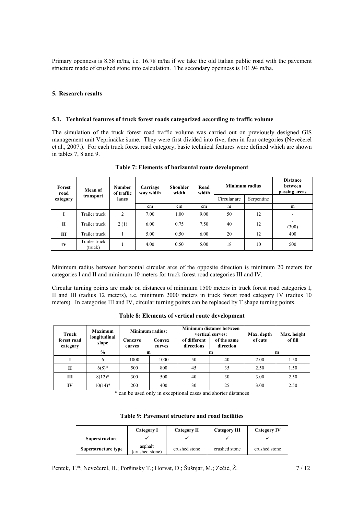Primary openness is 8.58 m/ha, i.e. 16.78 m/ha if we take the old Italian public road with the pavement structure made of crushed stone into calculation. The secondary openness is 101.94 m/ha.

#### **5. Research results**

### **5.1. Technical features of truck forest roads categorized according to traffic volume**

The simulation of the truck forest road traffic volume was carried out on previously designed GIS management unit Veprinačke šume. They were first divided into five, then in four categories (Nevečerel et al., 2007.). For each truck forest road category, basic technical features were defined which are shown in tables 7, 8 and 9.

| Forest<br>road | Mean of                  | <b>Number</b><br>of traffic | Carriage<br>way width | <b>Shoulder</b><br>width | Road<br>width | Minimum radius |            | <b>Distance</b><br>between<br>passing areas |
|----------------|--------------------------|-----------------------------|-----------------------|--------------------------|---------------|----------------|------------|---------------------------------------------|
| category       | transport                | lanes                       |                       |                          |               | Circular arc   | Serpentine |                                             |
|                |                          |                             | cm                    | cm                       | cm            | m              |            | m                                           |
|                | Trailer truck            | $\overline{2}$              | 7.00                  | 1.00                     | 9.00          | 50             | 12         |                                             |
| $\mathbf{I}$   | Trailer truck            | 2(1)                        | 6.00                  | 0.75                     | 7.50          | 40             | 12         | (300)                                       |
| Ш              | Trailer truck            |                             | 5.00                  | 0.50                     | 6.00          | 20             | 12         | 400                                         |
| IV             | Trailer truck<br>(truck) |                             | 4.00                  | 0.50                     | 5.00          | 18             | 10         | 500                                         |

**Table 7: Elements of horizontal route development** 

Minimum radius between horizontal circular arcs of the opposite direction is minimum 20 meters for categories I and II and minimum 10 meters for truck forest road categories III and IV.

Circular turning points are made on distances of minimum 1500 meters in truck forest road categories I, II and III (radius 12 meters), i.e. minimum 2000 meters in truck forest road category IV (radius 10 meters). In categories III and IV, circular turning points can be replaced by T shape turning points.

| <b>Maximum</b><br>Truck<br>longitudinal<br>forest road<br>slope<br>category |                   | Minimum radius:  |                            |                          | Minimum distance between<br>vertical curves: | Max. depth<br>of cuts | Max. height<br>of fill |  |  |
|-----------------------------------------------------------------------------|-------------------|------------------|----------------------------|--------------------------|----------------------------------------------|-----------------------|------------------------|--|--|
|                                                                             | Concave<br>curves | Convex<br>curves | of different<br>directions | of the same<br>direction |                                              |                       |                        |  |  |
|                                                                             | $\frac{6}{9}$     |                  | m                          |                          | m                                            |                       | m                      |  |  |
|                                                                             | 6                 | 1000             | 1000                       | 50                       | 40                                           | 2.00                  | 1.50                   |  |  |
| $\mathbf{H}$                                                                | $6(8)*$           | 500              | 800                        | 45                       | 35                                           | 2.50                  | 1.50                   |  |  |
| Ш                                                                           | $8(12)^*$         | 300              | 500                        | 40                       | 30                                           | 3.00                  | 2.50                   |  |  |
| IV                                                                          | $10(14)^*$        | 200              | 400                        | 30                       | 25                                           | 3.00                  | 2.50                   |  |  |

**Table 8: Elements of vertical route development** 

\* can be used only in exceptional cases and shorter distances

|  | Table 9: Pavement structure and road facilities |  |  |
|--|-------------------------------------------------|--|--|
|--|-------------------------------------------------|--|--|

|                       | Category I                 | <b>Category II</b> | <b>Category III</b> | <b>Category IV</b> |
|-----------------------|----------------------------|--------------------|---------------------|--------------------|
| <b>Superstructure</b> |                            |                    |                     |                    |
| Superstructure type   | asphalt<br>(crushed stone) | crushed stone      | crushed stone       | crushed stone      |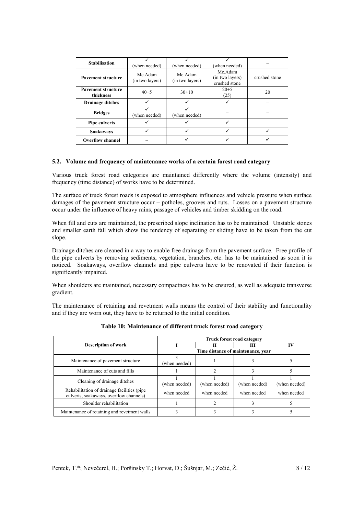| <b>Stabilisation</b>      |                 |                 |                            |               |
|---------------------------|-----------------|-----------------|----------------------------|---------------|
|                           | (when needed)   | (when needed)   | (when needed)              |               |
| <b>Pavement structure</b> | Mc.Adam         | Mc. Adam        | Mc.Adam<br>(in two layers) | crushed stone |
|                           | (in two layers) | (in two layers) | crushed stone              |               |
| <b>Pavement structure</b> | $40 + 5$        | $30+10$         | $20 + 5$                   | 20            |
| thickness                 |                 |                 | (25)                       |               |
| <b>Drainage ditches</b>   |                 |                 |                            |               |
|                           |                 |                 |                            |               |
| <b>Bridges</b>            | (when needed)   | (when needed)   |                            |               |
| Pipe culverts             |                 |                 |                            |               |
| <b>Soakaways</b>          |                 |                 |                            |               |
| <b>Overflow channel</b>   |                 |                 |                            |               |

#### **5.2. Volume and frequency of maintenance works of a certain forest road category**

Various truck forest road categories are maintained differently where the volume (intensity) and frequency (time distance) of works have to be determined.

The surface of truck forest roads is exposed to atmosphere influences and vehicle pressure when surface damages of the pavement structure occur – potholes, grooves and ruts. Losses on a pavement structure occur under the influence of heavy rains, passage of vehicles and timber skidding on the road.

When fill and cuts are maintained, the prescribed slope inclination has to be maintained. Unstable stones and smaller earth fall which show the tendency of separating or sliding have to be taken from the cut slope.

Drainage ditches are cleaned in a way to enable free drainage from the pavement surface. Free profile of the pipe culverts by removing sediments, vegetation, branches, etc. has to be maintained as soon it is noticed. Soakaways, overflow channels and pipe culverts have to be renovated if their function is significantly impaired.

When shoulders are maintained, necessary compactness has to be ensured, as well as adequate transverse gradient.

The maintenance of retaining and revetment walls means the control of their stability and functionality and if they are worn out, they have to be returned to the initial condition.

|                                                                                         | Truck forest road category |                                    |               |               |  |  |
|-----------------------------------------------------------------------------------------|----------------------------|------------------------------------|---------------|---------------|--|--|
| <b>Description of work</b>                                                              |                            |                                    | ш             |               |  |  |
|                                                                                         |                            | Time distance of maintenance, year |               |               |  |  |
| Maintenance of pavement structure                                                       | (when needed)              |                                    |               |               |  |  |
| Maintenance of cuts and fills                                                           |                            |                                    |               |               |  |  |
| Cleaning of drainage ditches                                                            | (when needed)              | (when needed)                      | (when needed) | (when needed) |  |  |
| Rehabilitation of drainage facilities (pipe)<br>culverts, soakaways, overflow channels) | when needed                | when needed                        | when needed   | when needed   |  |  |
| Shoulder rehabilitation                                                                 |                            |                                    |               |               |  |  |
| Maintenance of retaining and revetment walls                                            |                            |                                    |               |               |  |  |

**Table 10: Maintenance of different truck forest road category**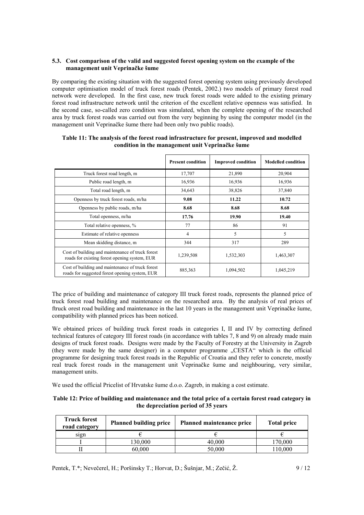## **5.3. Cost comparison of the valid and suggested forest opening system on the example of the management unit Veprinačke šume**

By comparing the existing situation with the suggested forest opening system using previously developed computer optimisation model of truck forest roads (Pentek, 2002.) two models of primary forest road network were developed. In the first case, new truck forest roads were added to the existing primary forest road infrastructure network until the criterion of the excellent relative openness was satisfied. In the second case, so-called zero condition was simulated, when the complete opening of the researched area by truck forest roads was carried out from the very beginning by using the computer model (in the management unit Veprinačke šume there had been only two public roads).

|                                                                                                    | <b>Present condition</b> | <b>Improved condition</b> | <b>Modelled condition</b> |
|----------------------------------------------------------------------------------------------------|--------------------------|---------------------------|---------------------------|
| Truck forest road length, m                                                                        | 17,707                   | 21,890                    | 20,904                    |
| Public road length, m                                                                              | 16,936                   | 16,936                    | 16,936                    |
| Total road length, m                                                                               | 34,643                   | 38,826                    | 37,840                    |
| Openness by truck forest roads, m/ha                                                               | 9.08                     | 11.22                     | 10.72                     |
| Openness by public roads, m/ha                                                                     | 8.68                     | 8.68                      | 8.68                      |
| Total openness, m/ha                                                                               | 17.76                    | 19.90                     | 19.40                     |
| Total relative openness, %                                                                         | 77                       | 86                        | 91                        |
| Estimate of relative openness                                                                      | 4                        | 5                         | 5                         |
| Mean skidding distance, m                                                                          | 344                      | 317                       | 289                       |
| Cost of building and maintenance of truck forest<br>roads for existing forest opening system, EUR  | 1,239,508                | 1,532,303                 | 1,463,307                 |
| Cost of building and maintenance of truck forest<br>roads for suggested forest opening system, EUR | 885,363                  | 1,094,502                 | 1,045,219                 |

| Table 11: The analysis of the forest road infrastructure for present, improved and modelled |
|---------------------------------------------------------------------------------------------|
| condition in the management unit Veprinačke šume                                            |

The price of building and maintenance of category III truck forest roads, represents the planned price of truck forest road building and maintenance on the researched area. By the analysis of real prices of ftruck orest road building and maintenance in the last 10 years in the management unit Veprinačke šume, compatibility with planned prices has been noticed.

We obtained prices of building truck forest roads in categories I, II and IV by correcting defined technical features of category III forest roads (in accordance with tables 7, 8 and 9) on already made main designs of truck forest roads. Designs were made by the Faculty of Forestry at the University in Zagreb (they were made by the same designer) in a computer programme "CESTA" which is the official programme for designing truck forest roads in the Republic of Croatia and they refer to concrete, mostly real truck forest roads in the management unit Veprinačke šume and neighbouring, very similar, management units.

We used the official Pricelist of Hrvatske šume d.o.o. Zagreb, in making a cost estimate.

| Table 12: Price of building and maintenance and the total price of a certain forest road category in |  |
|------------------------------------------------------------------------------------------------------|--|
| the depreciation period of 35 years                                                                  |  |

| <b>Truck forest</b><br>road category | <b>Planned building price</b> | Planned maintenance price | <b>Total price</b> |
|--------------------------------------|-------------------------------|---------------------------|--------------------|
| sign                                 |                               |                           |                    |
|                                      | 130.000                       | 40.000                    | 170.000            |
|                                      | 60,000                        | 50,000                    | 10,000             |

Pentek, T.\*; Nevečerel, H.; Poršinsky T.; Horvat, D.; Šušnjar, M.; Zečić, Ž. 9/12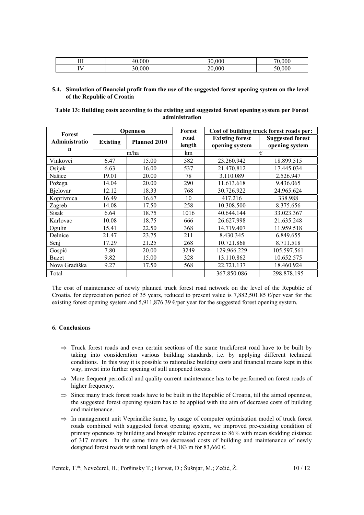| $- - -$<br> | 000<br>$\sim$ | .000 | .000<br>70 |
|-------------|---------------|------|------------|
|             | .000          | .000 | .000       |

#### **5.4. Simulation of financial profit from the use of the suggested forest opening system on the level of the Republic of Croatia**

**Table 13: Building costs according to the existing and suggested forest opening system per Forest administration** 

|                         | <b>Openness</b> |              | Forest         | Cost of building truck forest roads per: |                                           |  |
|-------------------------|-----------------|--------------|----------------|------------------------------------------|-------------------------------------------|--|
| Forest<br>Administratio | <b>Existing</b> | Planned 2010 | road<br>length | <b>Existing forest</b><br>opening system | <b>Suggested forest</b><br>opening system |  |
| n                       |                 | m/ha         | km             |                                          | €                                         |  |
| Vinkovci                | 6.47            | 15.00        | 582            | 23.260.942                               | 18.899.515                                |  |
| Osijek                  | 6.63            | 16.00        | 537            | 21.470.812                               | 17.445.034                                |  |
| Našice                  | 19.01           | 20.00        | 78             | 3.110.089                                | 2.526.947                                 |  |
| Požega                  | 14.04           | 20.00        | 290            | 11.613.618                               | 9.436.065                                 |  |
| <b>Bjelovar</b>         | 12.12           | 18.33        | 768            | 30.726.922                               | 24.965.624                                |  |
| Koprivnica              | 16.49           | 16.67        | 10             | 417.216                                  | 338.988                                   |  |
| Zagreb                  | 14.08           | 17.50        | 258            | 10.308.500                               | 8.375.656                                 |  |
| <b>Sisak</b>            | 6.64            | 18.75        | 1016           | 40.644.144                               | 33.023.367                                |  |
| Karlovac                | 10.08           | 18.75        | 666            | 26.627.998                               | 21.635.248                                |  |
| Ogulin                  | 15.41           | 22.50        | 368            | 14.719.407                               | 11.959.518                                |  |
| Delnice                 | 21.47           | 23.75        | 211            | 8.430.345                                | 6.849.655                                 |  |
| Senj                    | 17.29           | 21.25        | 268            | 10.721.868                               | 8.711.518                                 |  |
| Gospić                  | 7.80            | 20.00        | 3249           | 129.966.229                              | 105.597.561                               |  |
| <b>Buzet</b>            | 9.82            | 15.00        | 328            | 13.110.862                               | 10.652.575                                |  |
| Nova Gradiška           | 9.27            | 17.50        | 568            | 22.721.137                               | 18.460.924                                |  |
| Total                   |                 |              |                | 367.850.086                              | 298.878.195                               |  |

The cost of maintenance of newly planned truck forest road network on the level of the Republic of Croatia, for depreciation period of 35 years, reduced to present value is 7,882,501.85  $\epsilon$ /per year for the existing forest opening system and 5,911,876.39  $\epsilon$ /per year for the suggested forest opening system.

#### **6. Conclusions**

- $\Rightarrow$  Truck forest roads and even certain sections of the same truckforest road have to be built by taking into consideration various building standards, i.e. by applying different technical conditions. In this way it is possible to rationalise building costs and financial means kept in this way, invest into further opening of still unopened forests.
- $\Rightarrow$  More frequent periodical and quality current maintenance has to be performed on forest roads of higher frequency.
- $\Rightarrow$  Since many truck forest roads have to be built in the Republic of Croatia, till the aimed openness, the suggested forest opening system has to be applied with the aim of decrease costs of building and maintenance.
- ⇒ In management unit Veprinačke šume, by usage of computer optimisation model of truck forest roads combined with suggested forest opening system, we improved pre-existing condition of primary openness by building and brought relative openness to 86% with mean skidding distance of 317 meters. In the same time we decreased costs of building and maintenance of newly designed forest roads with total length of 4,183 m for 83,660  $\epsilon$ .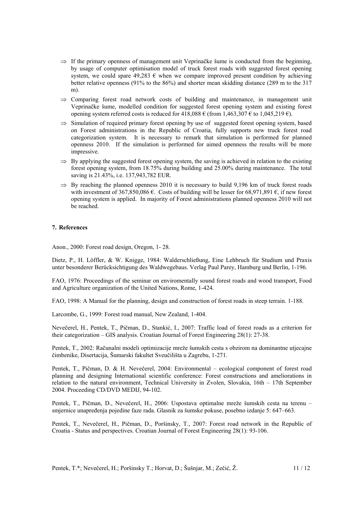- $\Rightarrow$  If the primary openness of management unit Veprinačke šume is conducted from the beginning, by usage of computer optimisation model of truck forest roads with suggested forest opening system, we could spare 49,283  $\epsilon$  when we compare improved present condition by achieving better relative openness (91% to the 86%) and shorter mean skidding distance (289 m to the 317 m).
- $\Rightarrow$  Comparing forest road network costs of building and maintenance, in management unit Veprinačke šume, modelled condition for suggested forest opening system and existing forest opening system referred costs is reduced for 418,088  $\epsilon$  (from 1,463,307  $\epsilon$  to 1,045,219  $\epsilon$ ).
- ⇒ Simulation of required primary forest opening by use of suggested forest opening system, based on Forest administrations in the Republic of Croatia, fully supports new truck forest road categorization system. It is necessary to remark that simulation is performed for planned openness 2010. If the simulation is performed for aimed openness the results will be more impressive.
- $\Rightarrow$  By applying the suggested forest opening system, the saving is achieved in relation to the existing forest opening system, from 18.75% during building and 25.00% during maintenance. The total saving is 21.43%, i.e. 137,943,782 EUR.
- $\Rightarrow$  By reaching the planned openness 2010 it is necessary to build 9,196 km of truck forest roads with investment of 367,850,086 €. Costs of building will be lesser for 68,971,891 €, if new forest opening system is applied. In majority of Forest administrations planned openness 2010 will not be reached.

#### **7. References**

Anon., 2000: Forest road design, Oregon, 1- 28.

Dietz, P., H. Löffler, & W. Knigge, 1984: Walderschließung, Eine Lehbruch für Studium und Praxis unter besonderer Berücksichtigung des Waldwegebaus. Verlag Paul Parey, Hamburg und Berlin, 1-196.

FAO, 1976: Proceedings of the seminar on enviromentally sound forest roads and wood transport, Food and Agriculture organization of the United Nations, Rome, 1-424.

FAO, 1998: A Manual for the planning, design and construction of forest roads in steep terrain. 1-188.

Larcombe, G., 1999: Forest road manual, New Zealand, 1-404.

Nevečerel, H., Pentek, T., Pičman, D., Stankić, I., 2007: Traffic load of forest roads as a criterion for their categorization – GIS analysis. Croatian Journal of Forest Engineering 28(1): 27-38.

Pentek, T., 2002: Računalni modeli optimizacije mreže šumskih cesta s obzirom na dominantne utjecajne čimbenike, Disertacija, Šumarski fakultet Sveučilišta u Zagrebu, 1-271.

Pentek, T., Pičman, D. & H. Nevečerel, 2004: Environmental – ecological component of forest road planning and designing International scientific conference: Forest constructions and ameliorations in relation to the natural environment, Technical University in Zvolen, Slovakia, 16th – 17th September 2004. Proceeding CD/DVD MEDIJ, 94-102.

Pentek, T., Pičman, D., Nevečerel, H., 2006: Uspostava optimalne mreže šumskih cesta na terenu – smjernice unapređenja pojedine faze rada. Glasnik za šumske pokuse, posebno izdanje 5: 647–663.

Pentek, T., Nevečerel, H., Pičman, D., Poršinsky, T., 2007: Forest road network in the Republic of Croatia - Status and perspectives. Croatian Journal of Forest Engineering 28(1): 93-106.